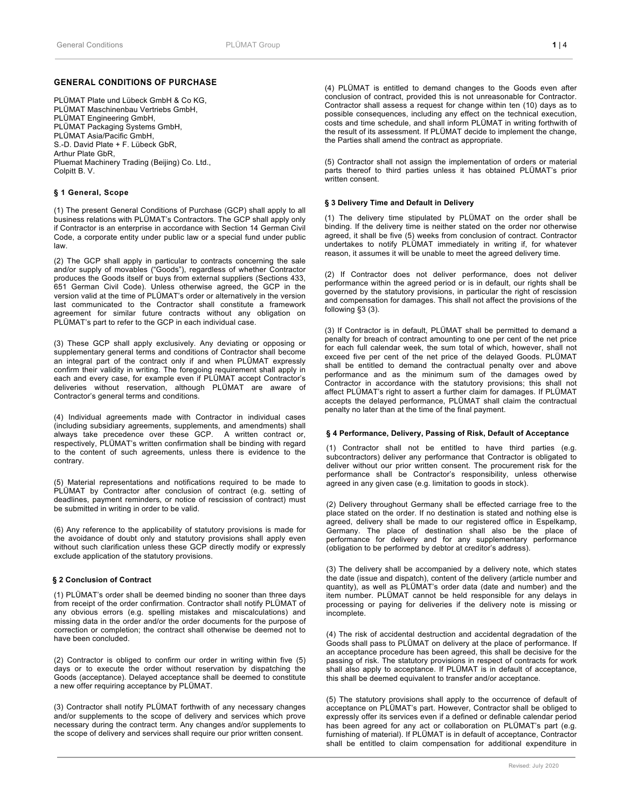# **GENERAL CONDITIONS OF PURCHASE**

PLÜMAT Plate und Lübeck GmbH & Co KG, PLÜMAT Maschinenbau Vertriebs GmbH, PLÜMAT Engineering GmbH, PLÜMAT Packaging Systems GmbH, PLÜMAT Asia/Pacific GmbH, S.-D. David Plate + F. Lübeck GbR, Arthur Plate GbR, Pluemat Machinery Trading (Beijing) Co. Ltd., Colpitt B. V.

### **§ 1 General, Scope**

(1) The present General Conditions of Purchase (GCP) shall apply to all business relations with PLÜMAT's Contractors. The GCP shall apply only if Contractor is an enterprise in accordance with Section 14 German Civil Code, a corporate entity under public law or a special fund under public law.

(2) The GCP shall apply in particular to contracts concerning the sale and/or supply of movables ("Goods"), regardless of whether Contractor produces the Goods itself or buys from external suppliers (Sections 433, 651 German Civil Code). Unless otherwise agreed, the GCP in the version valid at the time of PLÜMAT's order or alternatively in the version last communicated to the Contractor shall constitute a framework agreement for similar future contracts without any obligation on PLÜMAT's part to refer to the GCP in each individual case.

(3) These GCP shall apply exclusively. Any deviating or opposing or supplementary general terms and conditions of Contractor shall become an integral part of the contract only if and when PLÜMAT expressly confirm their validity in writing. The foregoing requirement shall apply in each and every case, for example even if PLÜMAT accept Contractor's deliveries without reservation, although PLÜMAT are aware of Contractor's general terms and conditions.

(4) Individual agreements made with Contractor in individual cases (including subsidiary agreements, supplements, and amendments) shall always take precedence over these GCP. A written contract or, respectively, PLÜMAT's written confirmation shall be binding with regard to the content of such agreements, unless there is evidence to the contrary.

(5) Material representations and notifications required to be made to PLÜMAT by Contractor after conclusion of contract (e.g. setting of deadlines, payment reminders, or notice of rescission of contract) must be submitted in writing in order to be valid.

(6) Any reference to the applicability of statutory provisions is made for the avoidance of doubt only and statutory provisions shall apply even without such clarification unless these GCP directly modify or expressly exclude application of the statutory provisions.

#### **§ 2 Conclusion of Contract**

(1) PLÜMAT's order shall be deemed binding no sooner than three days from receipt of the order confirmation. Contractor shall notify PLÜMAT of any obvious errors (e.g. spelling mistakes and miscalculations) and missing data in the order and/or the order documents for the purpose of correction or completion; the contract shall otherwise be deemed not to have been concluded.

(2) Contractor is obliged to confirm our order in writing within five (5) days or to execute the order without reservation by dispatching the Goods (acceptance). Delayed acceptance shall be deemed to constitute a new offer requiring acceptance by PLÜMAT.

(3) Contractor shall notify PLÜMAT forthwith of any necessary changes and/or supplements to the scope of delivery and services which prove necessary during the contract term. Any changes and/or supplements to the scope of delivery and services shall require our prior written consent.

(4) PLÜMAT is entitled to demand changes to the Goods even after conclusion of contract, provided this is not unreasonable for Contractor. Contractor shall assess a request for change within ten (10) days as to possible consequences, including any effect on the technical execution, costs and time schedule, and shall inform PLÜMAT in writing forthwith of the result of its assessment. If PLÜMAT decide to implement the change, the Parties shall amend the contract as appropriate.

(5) Contractor shall not assign the implementation of orders or material parts thereof to third parties unless it has obtained PLÜMAT's prior written consent.

## **§ 3 Delivery Time and Default in Delivery**

(1) The delivery time stipulated by PLÜMAT on the order shall be binding. If the delivery time is neither stated on the order nor otherwise agreed, it shall be five (5) weeks from conclusion of contract. Contractor undertakes to notify PLÜMAT immediately in writing if, for whatever reason, it assumes it will be unable to meet the agreed delivery time.

(2) If Contractor does not deliver performance, does not deliver performance within the agreed period or is in default, our rights shall be governed by the statutory provisions, in particular the right of rescission and compensation for damages. This shall not affect the provisions of the following §3 (3).

(3) If Contractor is in default, PLÜMAT shall be permitted to demand a penalty for breach of contract amounting to one per cent of the net price for each full calendar week, the sum total of which, however, shall not exceed five per cent of the net price of the delayed Goods. PLÜMAT shall be entitled to demand the contractual penalty over and above performance and as the minimum sum of the damages owed by Contractor in accordance with the statutory provisions; this shall not affect PLÜMAT's right to assert a further claim for damages. If PLÜMAT accepts the delayed performance, PLÜMAT shall claim the contractual penalty no later than at the time of the final payment.

### **§ 4 Performance, Delivery, Passing of Risk, Default of Acceptance**

(1) Contractor shall not be entitled to have third parties (e.g. subcontractors) deliver any performance that Contractor is obligated to deliver without our prior written consent. The procurement risk for the performance shall be Contractor's responsibility, unless otherwise agreed in any given case (e.g. limitation to goods in stock).

(2) Delivery throughout Germany shall be effected carriage free to the place stated on the order. If no destination is stated and nothing else is agreed, delivery shall be made to our registered office in Espelkamp, Germany. The place of destination shall also be the place of performance for delivery and for any supplementary performance (obligation to be performed by debtor at creditor's address).

(3) The delivery shall be accompanied by a delivery note, which states the date (issue and dispatch), content of the delivery (article number and quantity), as well as PLÜMAT's order data (date and number) and the item number. PLÜMAT cannot be held responsible for any delays in processing or paying for deliveries if the delivery note is missing or incomplete.

(4) The risk of accidental destruction and accidental degradation of the Goods shall pass to PLÜMAT on delivery at the place of performance. If an acceptance procedure has been agreed, this shall be decisive for the passing of risk. The statutory provisions in respect of contracts for work shall also apply to acceptance. If PLÜMAT is in default of acceptance, this shall be deemed equivalent to transfer and/or acceptance.

(5) The statutory provisions shall apply to the occurrence of default of acceptance on PLÜMAT's part. However, Contractor shall be obliged to expressly offer its services even if a defined or definable calendar period has been agreed for any act or collaboration on PLÜMAT's part (e.g. furnishing of material). If PLÜMAT is in default of acceptance, Contractor shall be entitled to claim compensation for additional expenditure in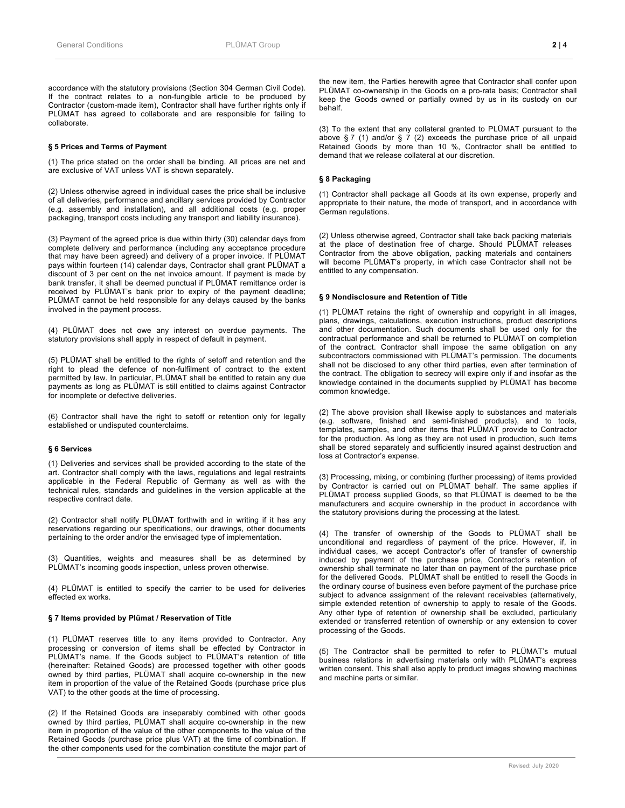accordance with the statutory provisions (Section 304 German Civil Code). If the contract relates to a non-fungible article to be produced by Contractor (custom-made item), Contractor shall have further rights only if PLÜMAT has agreed to collaborate and are responsible for failing to collaborate.

### **§ 5 Prices and Terms of Payment**

(1) The price stated on the order shall be binding. All prices are net and are exclusive of VAT unless VAT is shown separately.

(2) Unless otherwise agreed in individual cases the price shall be inclusive of all deliveries, performance and ancillary services provided by Contractor (e.g. assembly and installation), and all additional costs (e.g. proper packaging, transport costs including any transport and liability insurance).

(3) Payment of the agreed price is due within thirty (30) calendar days from complete delivery and performance (including any acceptance procedure that may have been agreed) and delivery of a proper invoice. If PLÜMAT pays within fourteen (14) calendar days, Contractor shall grant PLÜMAT a discount of 3 per cent on the net invoice amount. If payment is made by bank transfer, it shall be deemed punctual if PLÜMAT remittance order is received by PLÜMAT's bank prior to expiry of the payment deadline; PLÜMAT cannot be held responsible for any delays caused by the banks involved in the payment process.

(4) PLÜMAT does not owe any interest on overdue payments. The statutory provisions shall apply in respect of default in payment.

(5) PLÜMAT shall be entitled to the rights of setoff and retention and the right to plead the defence of non-fulfilment of contract to the extent permitted by law. In particular, PLÜMAT shall be entitled to retain any due payments as long as PLÜMAT is still entitled to claims against Contractor for incomplete or defective deliveries.

(6) Contractor shall have the right to setoff or retention only for legally established or undisputed counterclaims.

#### **§ 6 Services**

(1) Deliveries and services shall be provided according to the state of the art. Contractor shall comply with the laws, regulations and legal restraints applicable in the Federal Republic of Germany as well as with the technical rules, standards and guidelines in the version applicable at the respective contract date.

(2) Contractor shall notify PLÜMAT forthwith and in writing if it has any reservations regarding our specifications, our drawings, other documents pertaining to the order and/or the envisaged type of implementation.

(3) Quantities, weights and measures shall be as determined by PLÜMAT's incoming goods inspection, unless proven otherwise.

(4) PLÜMAT is entitled to specify the carrier to be used for deliveries effected ex works.

#### **§ 7 Items provided by Plümat / Reservation of Title**

(1) PLÜMAT reserves title to any items provided to Contractor. Any processing or conversion of items shall be effected by Contractor in PLÜMAT's name. If the Goods subject to PLÜMAT's retention of title (hereinafter: Retained Goods) are processed together with other goods owned by third parties, PLÜMAT shall acquire co-ownership in the new item in proportion of the value of the Retained Goods (purchase price plus VAT) to the other goods at the time of processing.

(2) If the Retained Goods are inseparably combined with other goods owned by third parties, PLÜMAT shall acquire co-ownership in the new item in proportion of the value of the other components to the value of the Retained Goods (purchase price plus VAT) at the time of combination. If the other components used for the combination constitute the major part of the new item, the Parties herewith agree that Contractor shall confer upon PLÜMAT co-ownership in the Goods on a pro-rata basis; Contractor shall keep the Goods owned or partially owned by us in its custody on our behalf.

(3) To the extent that any collateral granted to PLÜMAT pursuant to the above  $\S 7$  (1) and/or  $\S 7$  (2) exceeds the purchase price of all unpaid Retained Goods by more than 10 %, Contractor shall be entitled to demand that we release collateral at our discretion.

#### **§ 8 Packaging**

(1) Contractor shall package all Goods at its own expense, properly and appropriate to their nature, the mode of transport, and in accordance with German regulations.

(2) Unless otherwise agreed, Contractor shall take back packing materials at the place of destination free of charge. Should PLÜMAT releases Contractor from the above obligation, packing materials and containers will become PLÜMAT's property, in which case Contractor shall not be entitled to any compensation.

# **§ 9 Nondisclosure and Retention of Title**

(1) PLÜMAT retains the right of ownership and copyright in all images, plans, drawings, calculations, execution instructions, product descriptions and other documentation. Such documents shall be used only for the contractual performance and shall be returned to PLÜMAT on completion of the contract. Contractor shall impose the same obligation on any subcontractors commissioned with PLÜMAT's permission. The documents shall not be disclosed to any other third parties, even after termination of the contract. The obligation to secrecy will expire only if and insofar as the knowledge contained in the documents supplied by PLÜMAT has become common knowledge.

(2) The above provision shall likewise apply to substances and materials (e.g. software, finished and semi-finished products), and to tools, templates, samples, and other items that PLÜMAT provide to Contractor for the production. As long as they are not used in production, such items shall be stored separately and sufficiently insured against destruction and loss at Contractor's expense.

(3) Processing, mixing, or combining (further processing) of items provided by Contractor is carried out on PLÜMAT behalf. The same applies if PLÜMAT process supplied Goods, so that PLÜMAT is deemed to be the manufacturers and acquire ownership in the product in accordance with the statutory provisions during the processing at the latest.

(4) The transfer of ownership of the Goods to PLÜMAT shall be unconditional and regardless of payment of the price. However, if, in individual cases, we accept Contractor's offer of transfer of ownership induced by payment of the purchase price, Contractor's retention of ownership shall terminate no later than on payment of the purchase price for the delivered Goods. PLÜMAT shall be entitled to resell the Goods in the ordinary course of business even before payment of the purchase price subject to advance assignment of the relevant receivables (alternatively, simple extended retention of ownership to apply to resale of the Goods. Any other type of retention of ownership shall be excluded, particularly extended or transferred retention of ownership or any extension to cover processing of the Goods.

(5) The Contractor shall be permitted to refer to PLÜMAT's mutual business relations in advertising materials only with PLÜMAT's express written consent. This shall also apply to product images showing machines and machine parts or similar.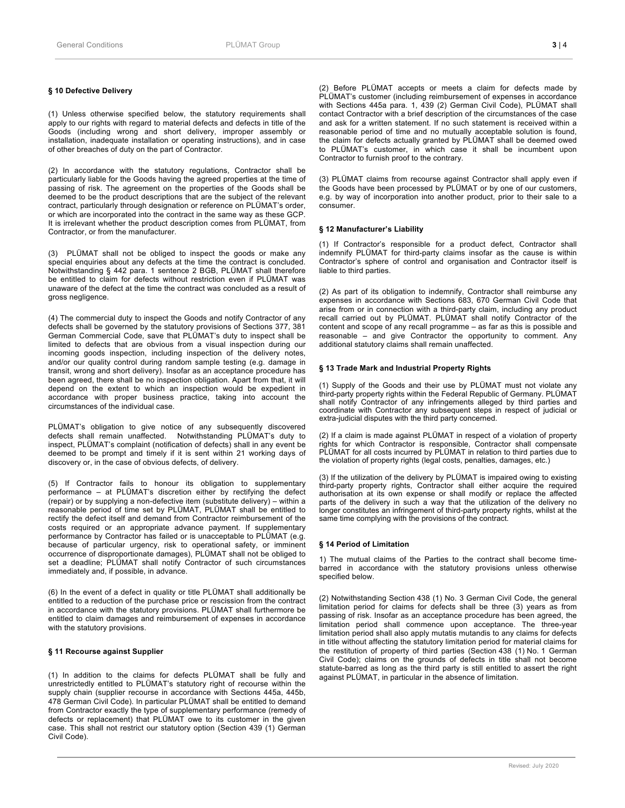#### **§ 10 Defective Delivery**

(1) Unless otherwise specified below, the statutory requirements shall apply to our rights with regard to material defects and defects in title of the Goods (including wrong and short delivery, improper assembly or installation, inadequate installation or operating instructions), and in case of other breaches of duty on the part of Contractor.

(2) In accordance with the statutory regulations, Contractor shall be particularly liable for the Goods having the agreed properties at the time of passing of risk. The agreement on the properties of the Goods shall be deemed to be the product descriptions that are the subject of the relevant contract, particularly through designation or reference on PLÜMAT's order, or which are incorporated into the contract in the same way as these GCP. It is irrelevant whether the product description comes from PLÜMAT, from Contractor, or from the manufacturer.

(3) PLÜMAT shall not be obliged to inspect the goods or make any special enquiries about any defects at the time the contract is concluded. Notwithstanding § 442 para. 1 sentence 2 BGB, PLÜMAT shall therefore be entitled to claim for defects without restriction even if PLÜMAT was unaware of the defect at the time the contract was concluded as a result of gross negligence.

(4) The commercial duty to inspect the Goods and notify Contractor of any defects shall be governed by the statutory provisions of Sections 377, 381 German Commercial Code, save that PLÜMAT's duty to inspect shall be limited to defects that are obvious from a visual inspection during our incoming goods inspection, including inspection of the delivery notes, and/or our quality control during random sample testing (e.g. damage in transit, wrong and short delivery). Insofar as an acceptance procedure has been agreed, there shall be no inspection obligation. Apart from that, it will depend on the extent to which an inspection would be expedient in accordance with proper business practice, taking into account the circumstances of the individual case.

PLÜMAT's obligation to give notice of any subsequently discovered defects shall remain unaffected. Notwithstanding PLÜMAT's duty to inspect, PLÜMAT's complaint (notification of defects) shall in any event be deemed to be prompt and timely if it is sent within 21 working days of discovery or, in the case of obvious defects, of delivery.

(5) If Contractor fails to honour its obligation to supplementary performance – at PLÜMAT's discretion either by rectifying the defect (repair) or by supplying a non-defective item (substitute delivery) – within a reasonable period of time set by PLÜMAT, PLÜMAT shall be entitled to rectify the defect itself and demand from Contractor reimbursement of the costs required or an appropriate advance payment. If supplementary performance by Contractor has failed or is unacceptable to PLÜMAT (e.g. because of particular urgency, risk to operational safety, or imminent occurrence of disproportionate damages), PLÜMAT shall not be obliged to set a deadline; PLÜMAT shall notify Contractor of such circumstances immediately and, if possible, in advance.

(6) In the event of a defect in quality or title PLÜMAT shall additionally be entitled to a reduction of the purchase price or rescission from the contract in accordance with the statutory provisions. PLÜMAT shall furthermore be entitled to claim damages and reimbursement of expenses in accordance with the statutory provisions.

### **§ 11 Recourse against Supplier**

(1) In addition to the claims for defects PLÜMAT shall be fully and unrestrictedly entitled to PLÜMAT's statutory right of recourse within the supply chain (supplier recourse in accordance with Sections 445a, 445b, 478 German Civil Code). In particular PLÜMAT shall be entitled to demand from Contractor exactly the type of supplementary performance (remedy of defects or replacement) that PLÜMAT owe to its customer in the given case. This shall not restrict our statutory option (Section 439 (1) German Civil Code).

(2) Before PLÜMAT accepts or meets a claim for defects made by PLÜMAT's customer (including reimbursement of expenses in accordance with Sections 445a para. 1, 439 (2) German Civil Code), PLÜMAT shall contact Contractor with a brief description of the circumstances of the case and ask for a written statement. If no such statement is received within a reasonable period of time and no mutually acceptable solution is found, the claim for defects actually granted by PLÜMAT shall be deemed owed to PLÜMAT's customer, in which case it shall be incumbent upon Contractor to furnish proof to the contrary.

(3) PLÜMAT claims from recourse against Contractor shall apply even if the Goods have been processed by PLÜMAT or by one of our customers, e.g. by way of incorporation into another product, prior to their sale to a consumer.

## **§ 12 Manufacturer's Liability**

(1) If Contractor's responsible for a product defect, Contractor shall indemnify PLÜMAT for third-party claims insofar as the cause is within Contractor's sphere of control and organisation and Contractor itself is liable to third parties.

(2) As part of its obligation to indemnify, Contractor shall reimburse any expenses in accordance with Sections 683, 670 German Civil Code that arise from or in connection with a third-party claim, including any product recall carried out by PLÜMAT. PLÜMAT shall notify Contractor of the content and scope of any recall programme – as far as this is possible and reasonable – and give Contractor the opportunity to comment. Any additional statutory claims shall remain unaffected.

# **§ 13 Trade Mark and Industrial Property Rights**

(1) Supply of the Goods and their use by PLÜMAT must not violate any third-party property rights within the Federal Republic of Germany. PLÜMAT shall notify Contractor of any infringements alleged by third parties and coordinate with Contractor any subsequent steps in respect of judicial or extra-judicial disputes with the third party concerned.

(2) If a claim is made against PLÜMAT in respect of a violation of property rights for which Contractor is responsible, Contractor shall compensate PLÜMAT for all costs incurred by PLÜMAT in relation to third parties due to the violation of property rights (legal costs, penalties, damages, etc.)

(3) If the utilization of the delivery by PLÜMAT is impaired owing to existing third-party property rights, Contractor shall either acquire the required authorisation at its own expense or shall modify or replace the affected parts of the delivery in such a way that the utilization of the delivery no longer constitutes an infringement of third-party property rights, whilst at the same time complying with the provisions of the contract.

### **§ 14 Period of Limitation**

1) The mutual claims of the Parties to the contract shall become timebarred in accordance with the statutory provisions unless otherwise specified below.

(2) Notwithstanding Section 438 (1) No. 3 German Civil Code, the general limitation period for claims for defects shall be three (3) years as from passing of risk. Insofar as an acceptance procedure has been agreed, the limitation period shall commence upon acceptance. The three-year limitation period shall also apply mutatis mutandis to any claims for defects in title without affecting the statutory limitation period for material claims for the restitution of property of third parties (Section 438 (1) No. 1 German Civil Code); claims on the grounds of defects in title shall not become statute-barred as long as the third party is still entitled to assert the right against PLÜMAT, in particular in the absence of limitation.